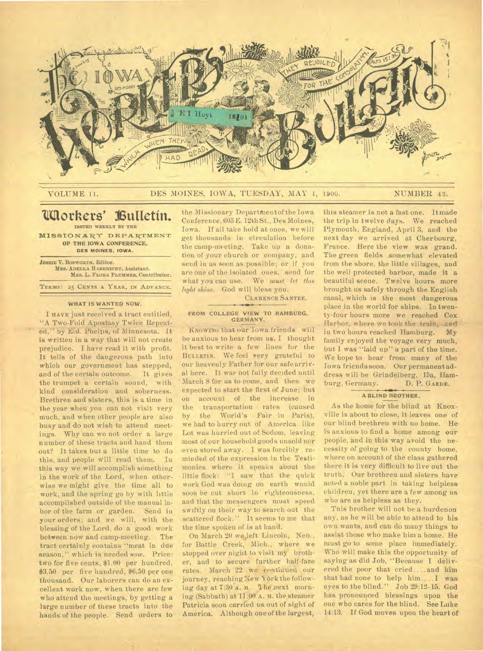

## VOLUME 11. DES MOINES, IOWA, TUESDAY, MAY 1, 1900. NUMBER 43.

## **'Workers' Bulletin.** ISSUED WEEKLY BY THE

**MISSIONARY DEPARTMENT OF THE IOWA CONFERENCE, DES MOINES, IOWA.** 

JESSIE V. BOSWORTH, **Editor.**  MRS. ADELLA HABENICHT, **Assistant.**  MRS. **L.** FLORA PLUMMER, **Contributor.**  TERMS: 25 CENTS A YEAR, IN ADVANCE.

#### **WHAT IS WANTED NOW.**

**I HAVE** just received a tract entitled, "A Two-Fold Apostasy Twice Repeated," by Eld. Phelps, of Minnesota. It is written in a way that will not create prejudice. I have read it with profit. It tells of the dangerous path into which our government has stepped, and of the certain outcome. It gives the trumpet a certain sound, with kind consideration and soberness. Brethren and sisters, this is a time in the year when you can not visit very much, and when other people are also busy and do not wish to attend meetings. Why can we not order a large number of these tracts and hand them out? It takes but a little time to do this, and people will read them. In this way we will accomplish something in the work of the Lord, when otherwise we might give the time all to work, and the spring go by with little accomplished outside of the manual labor of the farm or garden. Send iu your orders; and we will, with the blessing of the Lord, do a good work between now and camp-meeting. The tract certainly contains "meat in due season," which is needed *now.* Price: two for five cents, \$1.00 per hundred, \$3.50 per five hundred, \$6.50 per one thousand. Our laborers can do an excellent work now, when there are few who attend the meetings, by getting a large number of these tracts into the hands of the people. Send orders to

the Missionary Department of the Iowa Conference, 603 E. 12th St., Des Moines, Iowa. If all take hold at once, we will get thousands in circulation before the camp-meeting. Take up a donation of your church or company, and send in as soon as possible; or if you are one of the isolated ones, send for what you can use. We *must let this light shine.* God will bless you.

CLARENCE SANTEE.

#### **FROM COLLEGE VIEW TO HAMBURG, GERMANY.**

KNOWING that our Iowa friends will be anxious to hear from us, I thought it best to write a few lines for the BULLETIN. We feel very grateful to our heavenly Father for our safe arrival here. It was not fully decided until March 8 for us to come, and then we expected to start the first of June; but on account of the increase in the transportation rates (caused by the World's Fair in Paris), we had to hurry out of America like Lot was hurried out of Sodom, leaving most of our household goods unsold nor even stored away. I was forcibly reminded of the expression in the Testimonies where it speaks about the little flock: "I saw that the quick work God was'doing on earth would soon be cut short in righteougness, and that the messengers must speed swiftly on their way to search out the scattered flock." It seems to me that the time spoken of is at hand.

On March 20 we left Lincoln, Neb., for Battle Creek, Mich., where we stopped over night to visit my brother, and to secure further half-fare rates. March 22 we continued our journey, reaching New York the following day at 7:30 **A. M.** The next morning (Sabbath) at 11:00 **A. M.** the steamer Patricia soon carried us out of sight of America. Although one of the largest,

this steamer is not a fast one. It made the trip in twelve days. We reached Plymouth, England, April 3, and the next day we arrived at Cherbourg, France. Here the view was grand. The green fields somewhat' elevated from the shore, the little villages, and the well protected harbor, made it a beautiful scene. Twelve hours more brought us safely through the English canal, which is the most dangerous place in the world for ships. In twenty-four hours more we reached Cox Harbor, where we took the train, and in two hours reached Hamburg. My family enjoyed the voyage very much, but I was "laid up" a part of the time. We hope to hear from many of the Iowa friends soon. Our permanent address will be Grindelberg, 15a, Ham-<br>burg, Germany. D. P. GAEDE. burg, Germany.

#### **A BLIND BROTHER.**

As the home for the blind at Knoxville is about to close, it leaves one of our blind brethren with no home. He is anxious to find a home among our people, and in this way avoid the necessity of going to the county home, where on account of the class gathered there it is very difficult to live out the truth. Our brethren and sisters have acted a noble part in taking helpless children, yet there are a few among us who are as helpless as they.

This brother will not be a burdenon any, as he will be able to attend to his own wants, and can do many things to assist those who make him a home. He must go to some place immediately. Who will make this the opportunity of saying as did Job, "Because I delivered the poor that cried....and him that had none to help him.... I was eyes to the blind." Job 29:12-15. God has pronounced blessings upon the one who cares for the blind. See Luke 14:13. If God moves upon the heart of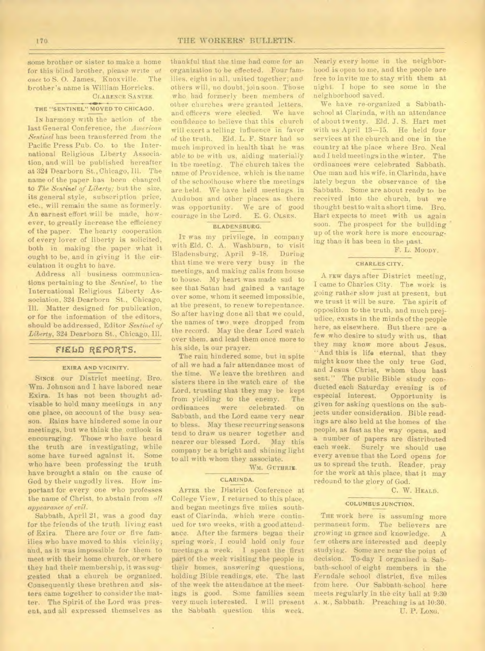some brother or sister to make a home for this blind brother, please write *at once* to S. 0. James, Knoxville. The brother's name is William Horricks. **CLARENCE SANTEE.** 

# **THE "SENTINEL" MOVED TO CHICAGO.**

IN harmony with the action of the last General Conference, the *American Sentinel* has been transferred from the Pacific Press Pub. Co. to the International Religious Liberty Association, and will be published hereafter at 324 Dearborn St., Chicago, Ill. The name of the paper has been changed to *The Sentinel of Liberty;* but the size, its general style, subscription price, etc., will remain the same as formerly. An earnest effort will be made, however, to greatly increase the efficiency of the paper. The hearty cooperation of every lover of liberty is solicited, both in making the paper what it ought to be, and in *giving* it the circulation it ought to have.

Address all business communications pertaining to the *Sentinel,* to the International Religious Liberty Association, 324 Dearborn St., Chicago, Ill. Matter designed for publication, or for the information of the editors, should be addressed, Editor *Sentinel of Liberty,* 324 Dearborn St., Chicago, Ill.

## **FIELID REPORTS.**

#### **EXIRA AND VICINITY.**

**SINCE** our District meeting, Bro. Wm. Johnson and I have labored near Exira. It has not been thought advisable to hold many meetings in any one place, on account of the busy season. Rains have hindered some in our meetings, but we think the outlook is encouraging. Those who have heard the truth are investigating, while<br>some have turned against it. Some some have turned against it. who have been professing the truth have brought a stain on the cause of God by their ungodly lives. How important for every one who professes the name of Christ, to abstain from *all appearance of evil.* 

Sabbath, April 21, was a good day for the friends of the truth living east of Exira. There are four or five families who have moved to this vicinity; and, as it was impossible for them to meet with their home church, or where they had their membership, it was suggested that a church be organized. Consequently these brethren and sisters came together to consider the matter. The Spirit of the Lord was present, and all expressed themselves as

thankful that the time had come for an organization to be effected. Four families, eight in all, united together; and others will, no doubt. join soon. Those who had formerly been members of other churches were granted letters, and officers were elected. We have confidence to believe that this church will exert a telling influence in favor of the truth. Eld. L. F. Starr had so much improved in health that he was able to be with us, aiding materially in the meeting. The church takes the name of Providence, which is the name of the schoolhouse where the meetings are held. We have held meetings in Audubon and other places as there was opportunity. We are of good courage in the Lord. E. G. **OLSEN.** 

## **BLADENSBURG.**

IT was my privilege, in company with Eld. C. A. Washburn, to visit Bladensburg, April 9-18. During that time we were very busy in the meetings, and making calls from house to house. My heart was made sad to see that Satan had gained a vantage over some, whom it seemed impossible, at the present, to renew to repentance. So after having done all that we could, the names of two were dropped from the record. May the dear Lord watch over them, and lead them once more to his side, is our prayer.

The rain hindered some, but in spite of all we had a fair attendance most of the time. We leave the brethren and sisters there in the watch care of the Lord, trusting that they may be kept from yielding to the enemy. The ordinances were celebrated on Sabbath, and the Lord came very near to bless. May these recurring seasons tend to draw us nearer together and nearer our blessed Lord. May this company be a bright and shining light to all with whom they associate.

WM. GUTHRIE.

### **CLARINDA.**

AFTER the District Conference at College View, I returned to this place, and began meetings five miles southeast of Clarinda, which were continued for two weeks, with a good attendance. After the farmers began their spring work, I could hold only four meetings a week. I spent the first part of the week visiting the people in their homes, answering questions, holding Bible readings, etc. The last of the week the attendance at the meetings is good. Some families seem very much interested. I will present the Sabbath question this week.

Nearly every home in the neighborhood is open to me, and the people are free to invite me to stay with them at night. I hope to see some in the neighborhood saved.

We have re-organized a Sabbathschool at Clarinda, with an attendance of about twenty. Eld. J. S. Hart met with us April 13-15. He held four services at the church and one in the country at the place where Bro. Neal and I held meetings in the winter. The ordinances were celebrated Sabbath. One man and his wife, in Clarinda, have lately begun the observance of the Sabbath. Some are about ready to be received into the church, but we thought best to wait a short time. Bro. Hart expects to meet with us again soon. The prospect for the building up of the work here is more encouraging than it has been in the past.

F. L. MOODY.

#### **CHARLES CITY.**

A **FEW** days after District meeting, I came to Charles City. The work is going rather slow just at present, but we trust it will be sure. The spirit of opposition to the truth, and much prejudice, exists in the minds of the people here, as elsewhere. But there are a few who desire to study with us, that they may know more about Jesus. "And this is life eternal, that they might know thee the only true God, and Jesus Christ, whom thou hast sent." The public Bible study conducted each Saturday evening is of<br>especial interest. Opportunity is especial interest. given for asking questions on the subjects under consideration. Bible readings are also held at the homes of the people, as fast as the way opens, and a number of papers are distributed each week. Surely we should use every avenue that the Lord opens for us to spread the truth. Reader, pray for the work at this place, that it may redound to the glory of God.

C. W. HEALD.

#### **COLUMBUS JUNCTION.**

THE work here is assuming more permanent form. The believers are growing in grace and knowledge. A few others are interested and deeply studying. Some are near the point of decision. To-day I organized a Sabbath-school of eight members in the Ferndale school district, five miles from here. Our Sabbath-school here meets regularly in the city hall at 9:30 A. M., Sabbath. Preaching is at 10:30. U. P. LONG.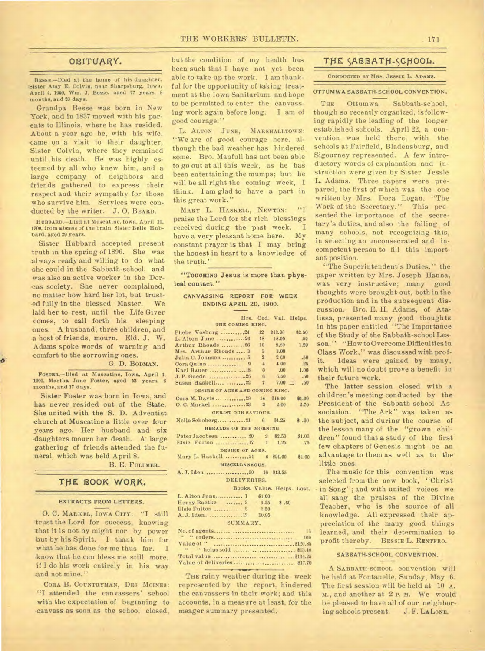## ostTuARY-

**Besss.-Died at the home of his daughter. Sister Amy E. Colvin. near Sharpsburg. Iowa. April 4, 1900, Wm. J. Besse. aged 77 years, 8 months, and 28 days.** 

Grandpa Besse was born in New York, and in 1837 moved with his parents to Illinois, where he has resided. About a year ago he, with his wife, came on a visit to their daughter, Sister Colvin, where they remained until his death. He was highly esteemed by all who knew him, and a large company of neighbors and 'friends gathered to express their respect and their sympathy for those who survive him. Services were conducted by the writer. **J. 0. BEARD.** 

**HUBBARD.-Lied at Muscatine, Iowa, April 10, 1900, from aboess of the brain, Sister Belle Hubbard, aged 20 years.** 

Sister Hubbard accepted present truth in the spring of 1896. She was always ready and willing to do what she could in the Sabbath-school, and was also an active worker in the Dorcas society. She never complained, no matter how hard her lot, but trusted fully in the blessed Master. We laid her to rest, until the Life Giver comes, to call forth his sleeping ones. A husband, three children, and a host of friends, mourn. Eld. **J. W.**  Adams spoke words of warning and comfort to the sorrowing ones.

#### G. D. **BODMAN.**

**FOSTER.-Died at Muscatine. Iowa, April I. 1900, Martha Jane Foster, aged53years,8 months, and 17 days.** 

Sister Foster was born in Iowa, and has never resided out of the State. She united with the S. D. Adventist church at Muscatine a little over four years ago. Her husband and six •daughters mourn her death. A' large gathering of friends attended the funeral, which was held April 8.

B. E. **FULLMER.** 

#### **TfiE BOOK WORK.**

#### **EXTRACTS FROM LETTERS.**

**0. C. MARKEL, IOWA CITY: "I Still**  trust the Lord for success, knowing that it is not by might nor by power but by his Spirit. I thank him for what he has done for me thus far. I know that he can bless me still more, if I do his work entirely in his way and not mine.'

**CORA** B. **COUNTRYMAN, DES MOINES:**  "I attended the canvassers' school with the expectation of beginning to canvass as soon as the school closed,

but the condition of my health has been such that I have not yet been able to take up the work. I am thankful for the opportunity of taking treatment at the Iowa Sanitarium, and hope to be permitted to enter the canvassing work again before long. I am of good courage."

L. **ALTON** JUNE, MARSHALLTOWN: "We are of good courage here, although the bad weather has hindered some. Bro. Manfull has not been able to go out at all this week, as he has been entertaining the mumps; but he will be all right the coming week, I think. I am glad to have a part in this great work."

MARY L. HASKELL, NEWTON: "I praise the Lord for the rich blessings received during the past week. I have a very pleasant home here. My constant prayer is that I may bring the honest in heart to a knowledge of the truth."

"Touching Jesus is more than phys**ical contact."** 

#### **CANVASSING REPORT FOR WEEK ENDING APRIL 20, 1900.**

|                                 |                  |               | Hrs. Ord. Val. Helps.      |
|---------------------------------|------------------|---------------|----------------------------|
| THE COMING KING.                |                  |               |                            |
| Phebe Vosburg 24                | 12               | \$12.00       | 82.50                      |
| L. Alton June 26                | 18               | 18.00         | .50                        |
| Arthur Rhoads 26                | 10 <sup>10</sup> | 9.80          | 1.20                       |
| Mrs. Arthur Rhoads  3           | $3^{\circ}$      | 3,00          |                            |
| Julia C. Johnson  5             | $\overline{a}$   | 200           | .50                        |
|                                 | $\overline{4}$   | 4.00          | .25                        |
|                                 | $\alpha$         | .00.          | 1.00                       |
| J. P. Gaede 26                  | 6                | 6.50          | .50                        |
| Susan Haskell 22                | $\overline{7}$   |               | $7.00 \t J.50$             |
| DESIRE OF AGES AND COMING KING. |                  |               |                            |
|                                 |                  | \$14.00       | \$1.00                     |
| O. C. Markel  33 3              |                  | 2.00          | 2.70                       |
| CHRIST OUR SAVIOUR.             |                  |               |                            |
| Nelle Schoberg21 6 34.25        |                  |               | 8.00                       |
|                                 |                  |               |                            |
| HERALDS OF THE MORNING.         |                  |               |                            |
| Peter Jacobsen  20 2 32.50      |                  |               | \$1.00                     |
| Elsie Fulton 17 1               |                  | 1.25          | .75                        |
| DESIRE OF AGES.                 |                  |               |                            |
| Mary L. Haskell 21              |                  | 6821.00       | 81.00                      |
| MISCELLANEOUS.                  |                  |               |                            |
|                                 |                  |               |                            |
| DELIVERIES.                     |                  |               |                            |
|                                 |                  |               |                            |
|                                 |                  |               | Books. Value. Helps. Lost. |
| L. Alton June 1                 | \$1.00           |               |                            |
| Henry Baetke  3                 |                  | $3.25$ $3.60$ |                            |
| Elsie Fulton  2 2.50            |                  |               |                            |
| A. J. Iden.  12                 | 10.95            |               |                            |

#### **SUMMARY.**

| <b>T6</b> |
|-----------|
|           |
|           |
|           |
|           |
|           |

**THE** rainy weather during the week represented by the report, hindered the canvassers in their work; and this accounts, in a measure at least, for the meager summary presented.

## THE SABBATH-SCHOOL.

#### **CONDUCTED BY MRS. JESSIE L. ADAMS.**

#### **OTTUMWA SABBATH•SCHOOL CONVENTION.**

**THE** Ottumwa Sabbath-school, though so recently organized, is following rapidly the leading of the longer established schools. April 22, a convention was held there, with the schools at Fairfield, Bladensburg, and Sigourney represented. A few introductory words of explanation and instruction were given by Sister Jessie L. Adams. Three papers were prepared, the first of which was the one written by Mrs. Dora Logan, "The Work of the Secretary." This presented the importance of the secretary's duties, and also the failing of many schools, not recognizing this, in selecting an unconsecrated and incompetent person to fill this important position.

"The Superintendent's Duties," the paper written by Mrs. Joseph Hanna, was very instructive; many good thoughts were brought out, both in the production and in the subsequent discussion. Bro. E. H. Adams, of Atalissa, presented many good thoughts in his paper entitled "The Importance of the Study of the Sabbath-school Lesson." "How to Overcome Difficulties in Class Work," was discussed with profit. Ideas were gained by many, which will no doubt prove a benefit in their future work.

The latter session closed with a children's meeting conducted by **the President of** the Sabbath-school Association. "The Ark" was taken as the subject, and during the course of the lesson many of the *"grown* children" found that **a study** of the first few chapters of Genesis might be an advantage to them as well as to the little ones.

The music for this convention was selected from the new book, "Christ in Song"; and with united voices we all sang the praises of the Divine Teacher, who is the source of all knowledge. All expressed their appreciation of the many good things learned, and their determination to profit thereby. **BESSIE L. RENTFRO.** 

#### **SABBATH-SCHOOL CONVENTION.**

A **SABBATH-SCHOOL** convention will be held at Fontanelle, Sunday, May 6. The first session will be held at 10 A. M., and another at 2 **P.** M. We would be pleased to have all of our neighbor-<br>ing schools present. J.F. LALONE. ing schools present.